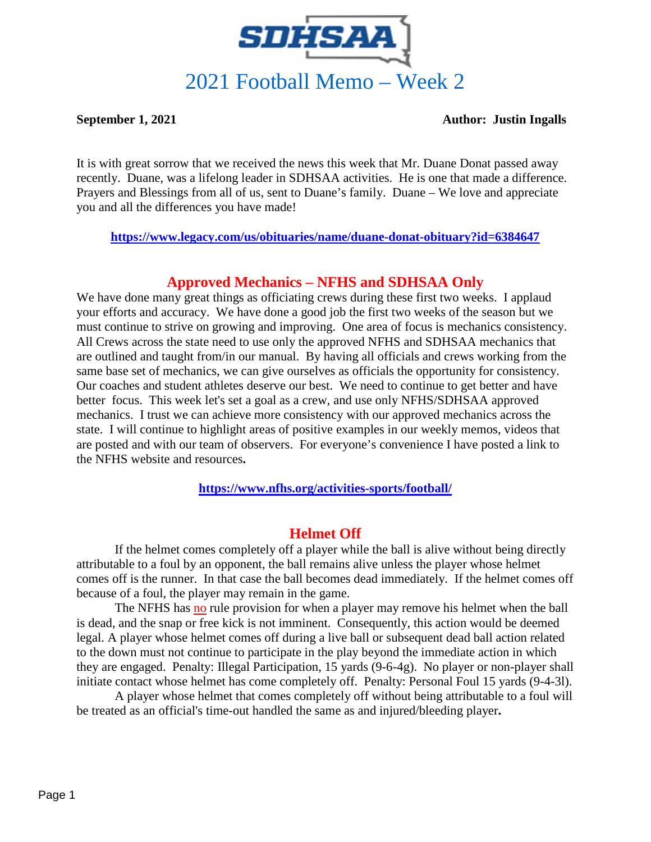

#### **September 1, 2021 Author: Justin Ingalls**

It is with great sorrow that we received the news this week that Mr. Duane Donat passed away recently. Duane, was a lifelong leader in SDHSAA activities. He is one that made a difference. Prayers and Blessings from all of us, sent to Duane's family. Duane – We love and appreciate you and all the differences you have made!

**<https://www.legacy.com/us/obituaries/name/duane-donat-obituary?id=6384647>**

## **Approved Mechanics – NFHS and SDHSAA Only**

We have done many great things as officiating crews during these first two weeks. I applaud your efforts and accuracy. We have done a good job the first two weeks of the season but we must continue to strive on growing and improving. One area of focus is mechanics consistency. All Crews across the state need to use only the approved NFHS and SDHSAA mechanics that are outlined and taught from/in our manual. By having all officials and crews working from the same base set of mechanics, we can give ourselves as officials the opportunity for consistency. Our coaches and student athletes deserve our best. We need to continue to get better and have better focus. This week let's set a goal as a crew, and use only NFHS/SDHSAA approved mechanics. I trust we can achieve more consistency with our approved mechanics across the state. I will continue to highlight areas of positive examples in our weekly memos, videos that are posted and with our team of observers. For everyone's convenience I have posted a link to the NFHS website and resources**.** 

**<https://www.nfhs.org/activities-sports/football/>**

## **Helmet Off**

If the helmet comes completely off a player while the ball is alive without being directly attributable to a foul by an opponent, the ball remains alive unless the player whose helmet comes off is the runner. In that case the ball becomes dead immediately. If the helmet comes off because of a foul, the player may remain in the game.

The NFHS has no rule provision for when a player may remove his helmet when the ball is dead, and the snap or free kick is not imminent. Consequently, this action would be deemed legal. A player whose helmet comes off during a live ball or subsequent dead ball action related to the down must not continue to participate in the play beyond the immediate action in which they are engaged. Penalty: Illegal Participation, 15 yards (9-6-4g). No player or non-player shall initiate contact whose helmet has come completely off. Penalty: Personal Foul 15 yards (9-4-3l).

A player whose helmet that comes completely off without being attributable to a foul will be treated as an official's time-out handled the same as and injured/bleeding player**.**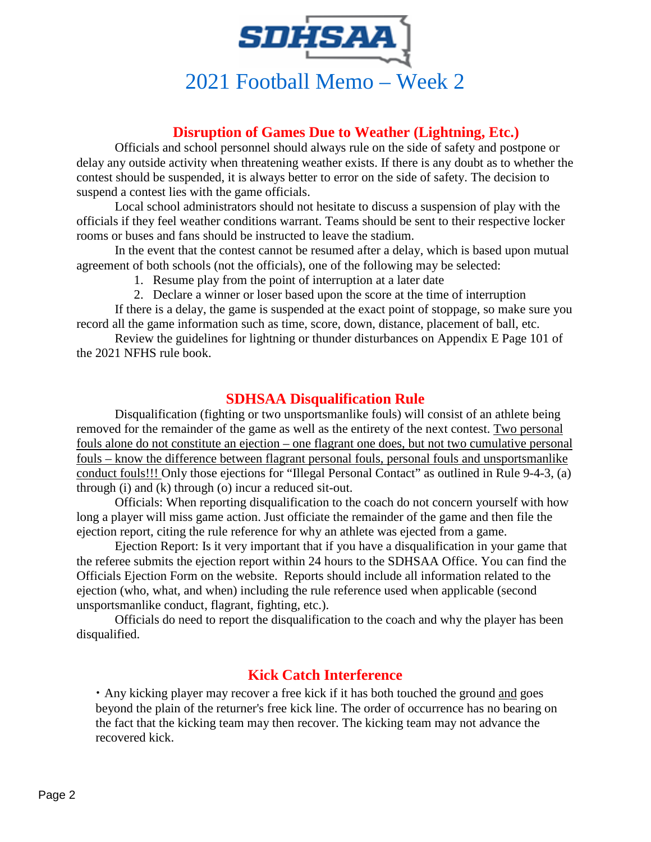

# **Disruption of Games Due to Weather (Lightning, Etc.)**

Officials and school personnel should always rule on the side of safety and postpone or delay any outside activity when threatening weather exists. If there is any doubt as to whether the contest should be suspended, it is always better to error on the side of safety. The decision to suspend a contest lies with the game officials.

Local school administrators should not hesitate to discuss a suspension of play with the officials if they feel weather conditions warrant. Teams should be sent to their respective locker rooms or buses and fans should be instructed to leave the stadium.

In the event that the contest cannot be resumed after a delay, which is based upon mutual agreement of both schools (not the officials), one of the following may be selected:

- 1. Resume play from the point of interruption at a later date
- 2. Declare a winner or loser based upon the score at the time of interruption

If there is a delay, the game is suspended at the exact point of stoppage, so make sure you record all the game information such as time, score, down, distance, placement of ball, etc.

Review the guidelines for lightning or thunder disturbances on Appendix E Page 101 of the 2021 NFHS rule book.

### **SDHSAA Disqualification Rule**

Disqualification (fighting or two unsportsmanlike fouls) will consist of an athlete being removed for the remainder of the game as well as the entirety of the next contest. Two personal fouls alone do not constitute an ejection – one flagrant one does, but not two cumulative personal fouls – know the difference between flagrant personal fouls, personal fouls and unsportsmanlike conduct fouls!!! Only those ejections for "Illegal Personal Contact" as outlined in Rule 9-4-3, (a) through (i) and (k) through (o) incur a reduced sit-out.

Officials: When reporting disqualification to the coach do not concern yourself with how long a player will miss game action. Just officiate the remainder of the game and then file the ejection report, citing the rule reference for why an athlete was ejected from a game.

Ejection Report: Is it very important that if you have a disqualification in your game that the referee submits the ejection report within 24 hours to the SDHSAA Office. You can find the Officials Ejection Form on the website. Reports should include all information related to the ejection (who, what, and when) including the rule reference used when applicable (second unsportsmanlike conduct, flagrant, fighting, etc.).

Officials do need to report the disqualification to the coach and why the player has been disqualified.

## **Kick Catch Interference**

• Any kicking player may recover a free kick if it has both touched the ground and goes beyond the plain of the returner's free kick line. The order of occurrence has no bearing on the fact that the kicking team may then recover. The kicking team may not advance the recovered kick.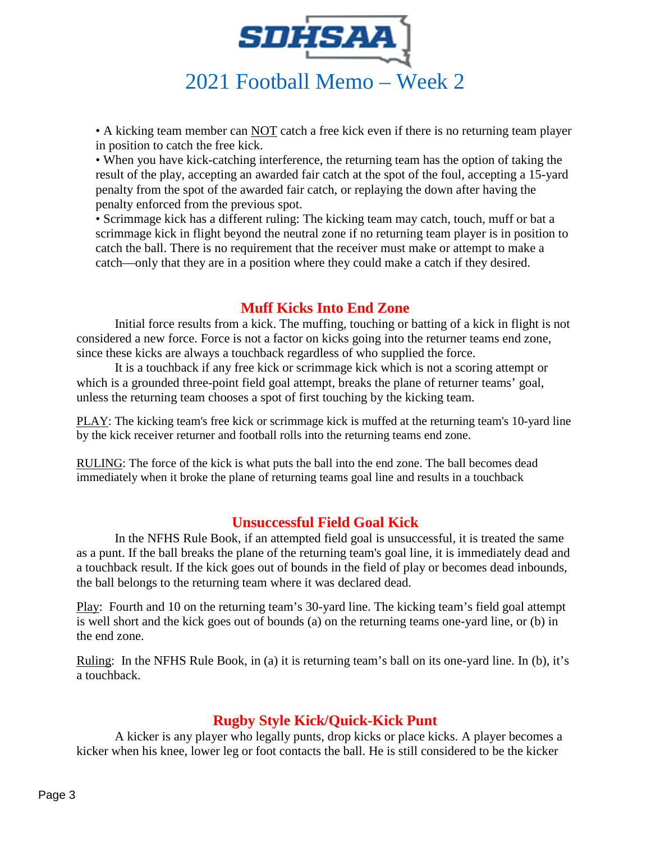

• A kicking team member can NOT catch a free kick even if there is no returning team player in position to catch the free kick.

• When you have kick-catching interference, the returning team has the option of taking the result of the play, accepting an awarded fair catch at the spot of the foul, accepting a 15-yard penalty from the spot of the awarded fair catch, or replaying the down after having the penalty enforced from the previous spot.

• Scrimmage kick has a different ruling: The kicking team may catch, touch, muff or bat a scrimmage kick in flight beyond the neutral zone if no returning team player is in position to catch the ball. There is no requirement that the receiver must make or attempt to make a catch—only that they are in a position where they could make a catch if they desired.

# **Muff Kicks Into End Zone**

Initial force results from a kick. The muffing, touching or batting of a kick in flight is not considered a new force. Force is not a factor on kicks going into the returner teams end zone, since these kicks are always a touchback regardless of who supplied the force.

It is a touchback if any free kick or scrimmage kick which is not a scoring attempt or which is a grounded three-point field goal attempt, breaks the plane of returner teams' goal, unless the returning team chooses a spot of first touching by the kicking team.

PLAY: The kicking team's free kick or scrimmage kick is muffed at the returning team's 10-yard line by the kick receiver returner and football rolls into the returning teams end zone.

RULING: The force of the kick is what puts the ball into the end zone. The ball becomes dead immediately when it broke the plane of returning teams goal line and results in a touchback

## **Unsuccessful Field Goal Kick**

In the NFHS Rule Book, if an attempted field goal is unsuccessful, it is treated the same as a punt. If the ball breaks the plane of the returning team's goal line, it is immediately dead and a touchback result. If the kick goes out of bounds in the field of play or becomes dead inbounds, the ball belongs to the returning team where it was declared dead.

Play: Fourth and 10 on the returning team's 30-yard line. The kicking team's field goal attempt is well short and the kick goes out of bounds (a) on the returning teams one-yard line, or (b) in the end zone.

Ruling: In the NFHS Rule Book, in (a) it is returning team's ball on its one-yard line. In (b), it's a touchback.

#### **Rugby Style Kick/Quick-Kick Punt**

A kicker is any player who legally punts, drop kicks or place kicks. A player becomes a kicker when his knee, lower leg or foot contacts the ball. He is still considered to be the kicker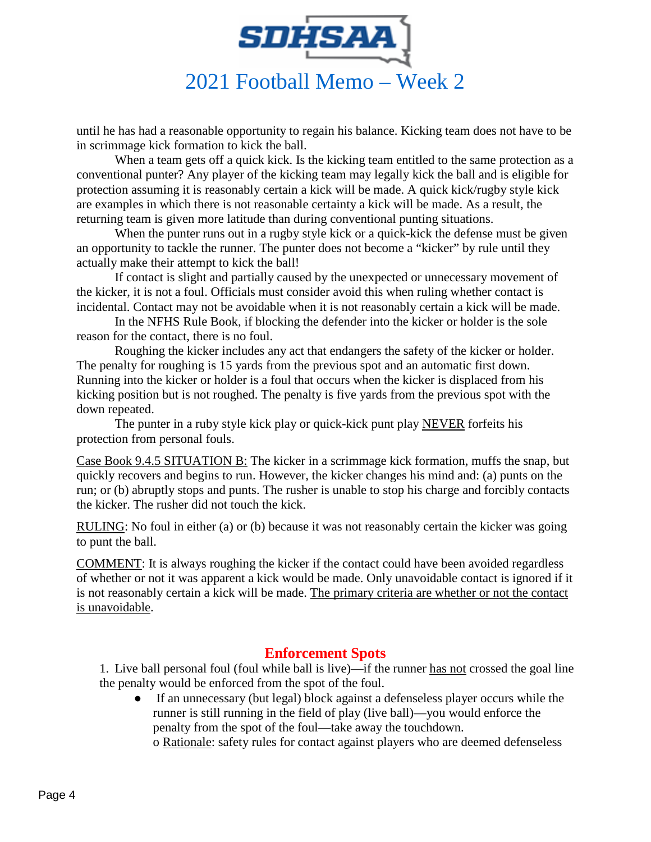

until he has had a reasonable opportunity to regain his balance. Kicking team does not have to be in scrimmage kick formation to kick the ball.

When a team gets off a quick kick. Is the kicking team entitled to the same protection as a conventional punter? Any player of the kicking team may legally kick the ball and is eligible for protection assuming it is reasonably certain a kick will be made. A quick kick/rugby style kick are examples in which there is not reasonable certainty a kick will be made. As a result, the returning team is given more latitude than during conventional punting situations.

When the punter runs out in a rugby style kick or a quick-kick the defense must be given an opportunity to tackle the runner. The punter does not become a "kicker" by rule until they actually make their attempt to kick the ball!

If contact is slight and partially caused by the unexpected or unnecessary movement of the kicker, it is not a foul. Officials must consider avoid this when ruling whether contact is incidental. Contact may not be avoidable when it is not reasonably certain a kick will be made.

In the NFHS Rule Book, if blocking the defender into the kicker or holder is the sole reason for the contact, there is no foul.

Roughing the kicker includes any act that endangers the safety of the kicker or holder. The penalty for roughing is 15 yards from the previous spot and an automatic first down. Running into the kicker or holder is a foul that occurs when the kicker is displaced from his kicking position but is not roughed. The penalty is five yards from the previous spot with the down repeated.

The punter in a ruby style kick play or quick-kick punt play NEVER forfeits his protection from personal fouls.

Case Book 9.4.5 SITUATION B: The kicker in a scrimmage kick formation, muffs the snap, but quickly recovers and begins to run. However, the kicker changes his mind and: (a) punts on the run; or (b) abruptly stops and punts. The rusher is unable to stop his charge and forcibly contacts the kicker. The rusher did not touch the kick.

RULING: No foul in either (a) or (b) because it was not reasonably certain the kicker was going to punt the ball.

COMMENT: It is always roughing the kicker if the contact could have been avoided regardless of whether or not it was apparent a kick would be made. Only unavoidable contact is ignored if it is not reasonably certain a kick will be made. The primary criteria are whether or not the contact is unavoidable.

#### **Enforcement Spots**

1. Live ball personal foul (foul while ball is live)—if the runner has not crossed the goal line the penalty would be enforced from the spot of the foul.

● If an unnecessary (but legal) block against a defenseless player occurs while the runner is still running in the field of play (live ball)—you would enforce the penalty from the spot of the foul—take away the touchdown.

o Rationale: safety rules for contact against players who are deemed defenseless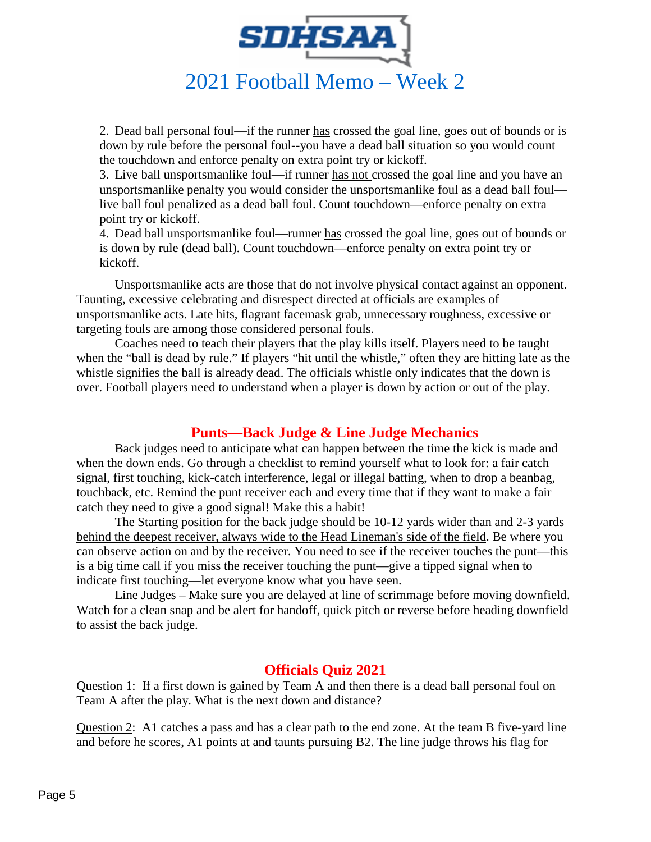

2. Dead ball personal foul—if the runner has crossed the goal line, goes out of bounds or is down by rule before the personal foul--you have a dead ball situation so you would count the touchdown and enforce penalty on extra point try or kickoff.

3. Live ball unsportsmanlike foul—if runner has not crossed the goal line and you have an unsportsmanlike penalty you would consider the unsportsmanlike foul as a dead ball foul live ball foul penalized as a dead ball foul. Count touchdown—enforce penalty on extra point try or kickoff.

4. Dead ball unsportsmanlike foul—runner has crossed the goal line, goes out of bounds or is down by rule (dead ball). Count touchdown—enforce penalty on extra point try or kickoff.

Unsportsmanlike acts are those that do not involve physical contact against an opponent. Taunting, excessive celebrating and disrespect directed at officials are examples of unsportsmanlike acts. Late hits, flagrant facemask grab, unnecessary roughness, excessive or targeting fouls are among those considered personal fouls.

Coaches need to teach their players that the play kills itself. Players need to be taught when the "ball is dead by rule." If players "hit until the whistle," often they are hitting late as the whistle signifies the ball is already dead. The officials whistle only indicates that the down is over. Football players need to understand when a player is down by action or out of the play.

## **Punts—Back Judge & Line Judge Mechanics**

Back judges need to anticipate what can happen between the time the kick is made and when the down ends. Go through a checklist to remind yourself what to look for: a fair catch signal, first touching, kick-catch interference, legal or illegal batting, when to drop a beanbag, touchback, etc. Remind the punt receiver each and every time that if they want to make a fair catch they need to give a good signal! Make this a habit!

The Starting position for the back judge should be 10-12 yards wider than and 2-3 yards behind the deepest receiver, always wide to the Head Lineman's side of the field. Be where you can observe action on and by the receiver. You need to see if the receiver touches the punt—this is a big time call if you miss the receiver touching the punt—give a tipped signal when to indicate first touching—let everyone know what you have seen.

Line Judges – Make sure you are delayed at line of scrimmage before moving downfield. Watch for a clean snap and be alert for handoff, quick pitch or reverse before heading downfield to assist the back judge.

#### **Officials Quiz 2021**

Question 1: If a first down is gained by Team A and then there is a dead ball personal foul on Team A after the play. What is the next down and distance?

Question 2: A1 catches a pass and has a clear path to the end zone. At the team B five-yard line and before he scores, A1 points at and taunts pursuing B2. The line judge throws his flag for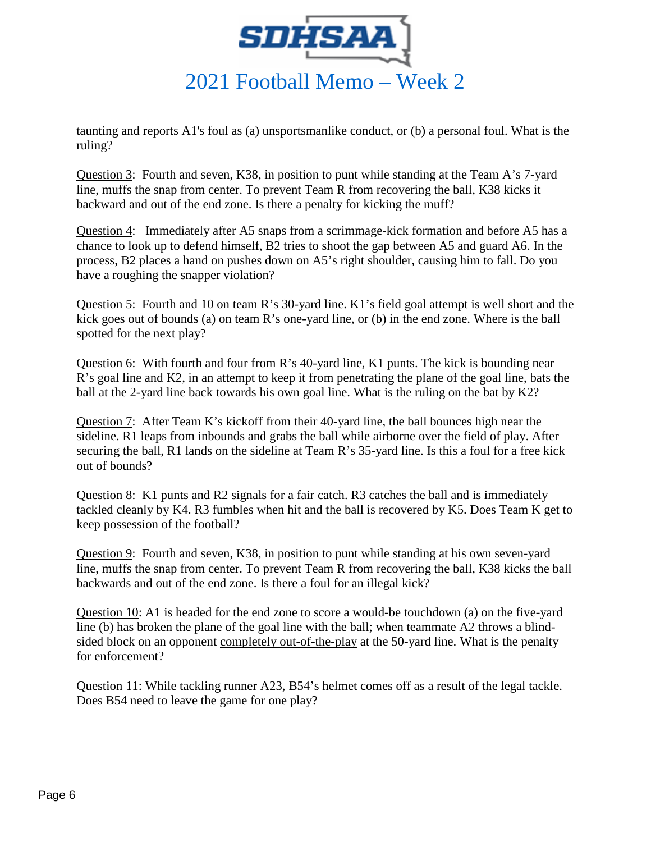

taunting and reports A1's foul as (a) unsportsmanlike conduct, or (b) a personal foul. What is the ruling?

Question 3: Fourth and seven, K38, in position to punt while standing at the Team A's 7-yard line, muffs the snap from center. To prevent Team R from recovering the ball, K38 kicks it backward and out of the end zone. Is there a penalty for kicking the muff?

Question 4: Immediately after A5 snaps from a scrimmage-kick formation and before A5 has a chance to look up to defend himself, B2 tries to shoot the gap between A5 and guard A6. In the process, B2 places a hand on pushes down on A5's right shoulder, causing him to fall. Do you have a roughing the snapper violation?

Question 5: Fourth and 10 on team R's 30-yard line. K1's field goal attempt is well short and the kick goes out of bounds (a) on team R's one-yard line, or (b) in the end zone. Where is the ball spotted for the next play?

Question 6: With fourth and four from R's 40-yard line, K1 punts. The kick is bounding near R's goal line and K2, in an attempt to keep it from penetrating the plane of the goal line, bats the ball at the 2-yard line back towards his own goal line. What is the ruling on the bat by K2?

Question 7: After Team K's kickoff from their 40-yard line, the ball bounces high near the sideline. R1 leaps from inbounds and grabs the ball while airborne over the field of play. After securing the ball, R1 lands on the sideline at Team R's 35-yard line. Is this a foul for a free kick out of bounds?

Question 8: K1 punts and R2 signals for a fair catch. R3 catches the ball and is immediately tackled cleanly by K4. R3 fumbles when hit and the ball is recovered by K5. Does Team K get to keep possession of the football?

Question 9: Fourth and seven, K38, in position to punt while standing at his own seven-yard line, muffs the snap from center. To prevent Team R from recovering the ball, K38 kicks the ball backwards and out of the end zone. Is there a foul for an illegal kick?

Question 10: A1 is headed for the end zone to score a would-be touchdown (a) on the five-yard line (b) has broken the plane of the goal line with the ball; when teammate A2 throws a blindsided block on an opponent completely out-of-the-play at the 50-yard line. What is the penalty for enforcement?

Question 11: While tackling runner A23, B54's helmet comes off as a result of the legal tackle. Does B54 need to leave the game for one play?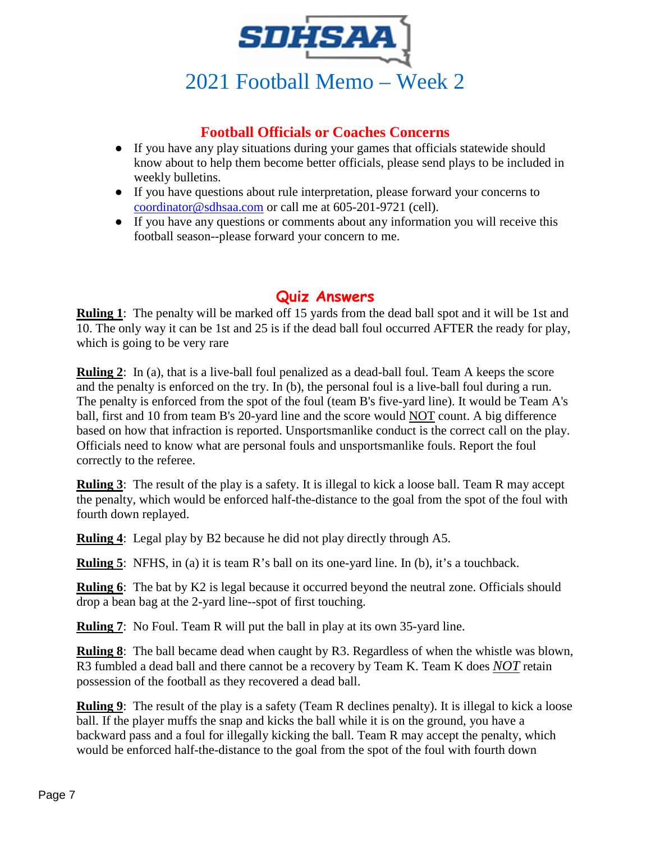

# **Football Officials or Coaches Concerns**

- If you have any play situations during your games that officials statewide should know about to help them become better officials, please send plays to be included in weekly bulletins.
- If you have questions about rule interpretation, please forward your concerns to [coordinator@sdhsaa.com](mailto:coordinator@sdhsaa.com) or call me at 605-201-9721 (cell).
- If you have any questions or comments about any information you will receive this football season--please forward your concern to me.

# **Quiz Answers**

**Ruling 1**: The penalty will be marked off 15 yards from the dead ball spot and it will be 1st and 10. The only way it can be 1st and 25 is if the dead ball foul occurred AFTER the ready for play, which is going to be very rare

**Ruling 2**: In (a), that is a live-ball foul penalized as a dead-ball foul. Team A keeps the score and the penalty is enforced on the try. In (b), the personal foul is a live-ball foul during a run. The penalty is enforced from the spot of the foul (team B's five-yard line). It would be Team A's ball, first and 10 from team B's 20-yard line and the score would NOT count. A big difference based on how that infraction is reported. Unsportsmanlike conduct is the correct call on the play. Officials need to know what are personal fouls and unsportsmanlike fouls. Report the foul correctly to the referee.

**Ruling 3**: The result of the play is a safety. It is illegal to kick a loose ball. Team R may accept the penalty, which would be enforced half-the-distance to the goal from the spot of the foul with fourth down replayed.

**Ruling 4**: Legal play by B2 because he did not play directly through A5.

**Ruling 5**: NFHS, in (a) it is team R's ball on its one-yard line. In (b), it's a touchback.

**Ruling 6**: The bat by K2 is legal because it occurred beyond the neutral zone. Officials should drop a bean bag at the 2-yard line--spot of first touching.

**Ruling 7:** No Foul. Team R will put the ball in play at its own 35-yard line.

**Ruling 8**: The ball became dead when caught by R3. Regardless of when the whistle was blown, R3 fumbled a dead ball and there cannot be a recovery by Team K. Team K does *NOT* retain possession of the football as they recovered a dead ball.

**Ruling 9**: The result of the play is a safety (Team R declines penalty). It is illegal to kick a loose ball. If the player muffs the snap and kicks the ball while it is on the ground, you have a backward pass and a foul for illegally kicking the ball. Team R may accept the penalty, which would be enforced half-the-distance to the goal from the spot of the foul with fourth down